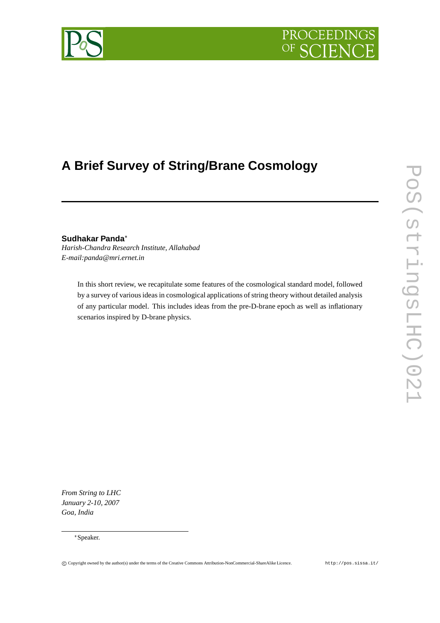# PROCEEDING OF

# **A Brief Survey of String/Brane Cosmology**

**Sudhakar Panda** *Harish-Chandra Research Institute, Allahabad E-mail:panda@mri.ernet.in*

> In this short review, we recapitulate some features of the cosmological standard model, followed by a survey of various ideas in cosmological applications of string theory without detailed analysis of any particular model. This includes ideas from the pre-D-brane epoch as well as inflationary scenarios inspired by D-brane physics.

*From String to LHC January 2-10, 2007 Goa, India*



Speaker.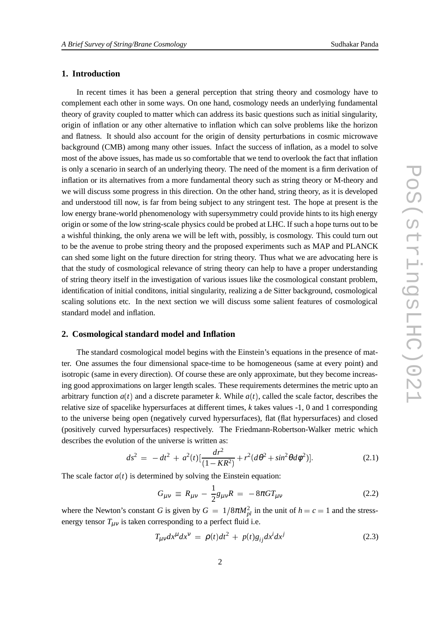# **1. Introduction**

In recent times it has been a general perception that string theory and cosmology have to complement each other in some ways. On one hand, cosmology needs an underlying fundamental theory of gravity coupled to matter which can address its basic questions such as initial singularity, origin of inflation or any other alternative to inflation which can solve problems like the horizon and flatness. It should also account for the origin of density perturbations in cosmic microwave background (CMB) among many other issues. Infact the success of inflation, as a model to solve most of the above issues, has made us so comfortable that we tend to overlook the fact that inflation is only a scenario in search of an underlying theory. The need of the moment is a firm derivation of inflation or its alternatives from a more fundamental theory such as string theory or M-theory and we will discuss some progress in this direction. On the other hand, string theory, as it is developed and understood till now, is far from being subject to any stringent test. The hope at present is the low energy brane-world phenomenology with supersymmetry could provide hints to its high energy origin or some of the low string-scale physics could be probed at LHC. If such a hope turns out to be a wishful thinking, the only arena we will be left with, possibly, is cosmology. This could turn out to be the avenue to probe string theory and the proposed experiments such as MAP and PLANCK can shed some light on the future direction for string theory. Thus what we are advocating here is that the study of cosmological relevance of string theory can help to have a proper understanding of string theory itself in the investigation of various issues like the cosmological constant problem, identification of initial conditons, initial singularity, realizing a de Sitter background, cosmological scaling solutions etc. In the next section we will discuss some salient features of cosmological standard model and inflation.

#### **2. Cosmological standard model and Inflation**

The standard cosmological model begins with the Einstein's equations in the presence of matter. One assumes the four dimensional space-time to be homogeneous (same at every point) and isotropic (same in every direction). Of course these are only approximate, but they become increasing good approximations on larger length scales. These requirements determines the metric upto an arbitrary function  $a(t)$  and a discrete parameter k. While  $a(t)$ , called the scale factor, describes the relative size of spacelike hypersurfaces at different times, *k* takes values -1, 0 and 1 corresponding to the universe being open (negatively curved hypersurfaces), flat (flat hypersurfaces) and closed (positively curved hypersurfaces) respectively. The Friedmann-Robertson-Walker metric which describes the evolution of the universe is written as:

$$
ds^{2} = -dt^{2} + a^{2}(t)[\frac{dr^{2}}{(1 - KR^{2})} + r^{2}(d\theta^{2} + sin^{2}\theta d\phi^{2})].
$$
 (2.1)

The scale factor  $a(t)$  is determined by solving the Einstein equation:

$$
G_{\mu\nu} \equiv R_{\mu\nu} - \frac{1}{2}g_{\mu\nu}R = -8\pi GT_{\mu\nu}
$$
 (2.2)

where the Newton's constant *G* is given by  $G = 1/8\pi M_{pl}^2$  in the unit of  $h = c = 1$  and the stressenergy tensor  $T_{\mu\nu}$  is taken corresponding to a perfect fluid i.e.

$$
T_{\mu\nu}dx^{\mu}dx^{\nu} = \rho(t)dt^2 + p(t)g_{ij}dx^i dx^j \qquad (2.3)
$$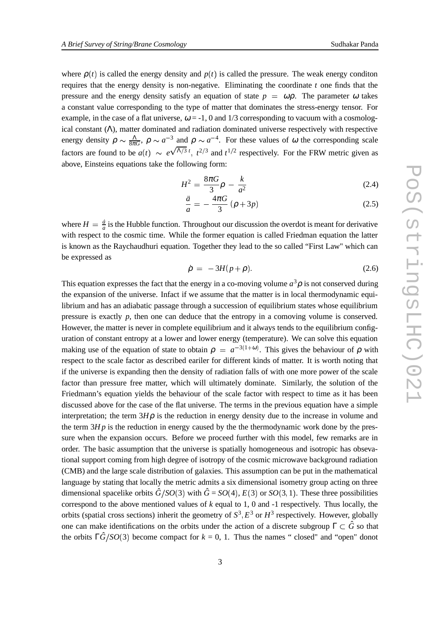where  $\rho(t)$  is called the energy density and  $p(t)$  is called the pressure. The weak energy conditon requires that the energy density is non-negative. Eliminating the coordinate *t* one finds that the pressure and the energy density satisfy an equation of state  $p = \omega \rho$ . The parameter  $\omega$  takes a constant value corresponding to the type of matter that dominates the stress-energy tensor. For example, in the case of a flat universe,  $\omega = -1$ , 0 and 1/3 corresponding to vacuum with a cosmological constant  $(\Lambda)$ , matter dominated and radiation dominated universe respectively with respective energy density  $\rho \sim \frac{\Lambda}{8\pi G}$ ,  $\rho \sim a^{-3}$  and  $\rho \sim a^{-4}$ . For these values of  $\omega$  the corresponding scale factors are found to be  $a(t) \sim e^{\sqrt{\Lambda/3} t}$ ,  $t^{2/3}$  and  $t^{1/2}$  respectively. For the FRW metric given as above, Einsteins equations take the following form:

$$
H^2 = \frac{8\pi G}{3}\rho - \frac{k}{a^2} \tag{2.4}
$$

$$
\frac{\ddot{a}}{a} = -\frac{4\pi G}{3} \left( \rho + 3p \right) \tag{2.5}
$$

where  $H = \frac{\dot{a}}{a}$  is the Hubble  $\frac{a}{a}$  is the Hubble function. Throughout our discussion the overdot is meant for derivative with respect to the cosmic time. While the former equation is called Friedman equation the latter is known as the Raychaudhuri equation. Together they lead to the so called "First Law" which can be expressed as

$$
\dot{\rho} = -3H(p+\rho). \tag{2.6}
$$

This equation expresses the fact that the energy in a co-moving volume  $a^3 \rho$  is not conserved during the expansion of the universe. Infact if we assume that the matter is in local thermodynamic equilibrium and has an adiabatic passage through a succession of equilibrium states whose equilibrium pressure is exactly *p*, then one can deduce that the entropy in a comoving volume is conserved. However, the matter is never in complete equilibrium and it always tends to the equilibrium configuration of constant entropy at a lower and lower energy (temperature). We can solve this equation making use of the equation of state to obtain  $\rho = a^{-3(1+\omega)}$ . This gives the behaviour of  $\rho$  with respect to the scale factor as described eariler for different kinds of matter. It is worth noting that if the universe is expanding then the density of radiation falls of with one more power of the scale factor than pressure free matter, which will ultimately dominate. Similarly, the solution of the Friedmann's equation yields the behaviour of the scale factor with respect to time as it has been discussed above for the case of the flat universe. The terms in the previous equation have a simple interpretation; the term  $3H\rho$  is the reduction in energy density due to the increase in volume and the term  $3Hp$  is the reduction in energy caused by the the thermodynamic work done by the pressure when the expansion occurs. Before we proceed further with this model, few remarks are in order. The basic assumption that the universe is spatially homogeneous and isotropic has obsevational support coming from high degree of isotropy of the cosmic microwave background radiation (CMB) and the large scale distribution of galaxies. This assumption can be put in the mathematical language by stating that locally the metric admits a six dimensional isometry group acting on three dimensional spacelike orbits  $\hat{G}/SO(3)$  with  $\hat{G} = SO(4)$ ,  $E(3)$  or  $SO(3,1)$ . These three possibilities correspond to the above mentioned values of *k* equal to 1, 0 and -1 respectively. Thus locally, the orbits (spatial cross sections) inherit the geometry of  $S^3$ ,  $E^3$  or  $H^3$  respectively. However, globally one can make identifications on the orbits under the action of a discrete subgroup  $\Gamma \subset \hat{G}$  so that the orbits  $\Gamma \hat{G}/SO(3)$  become compact for  $k = 0, 1$ . Thus the names "closed" and "open" donot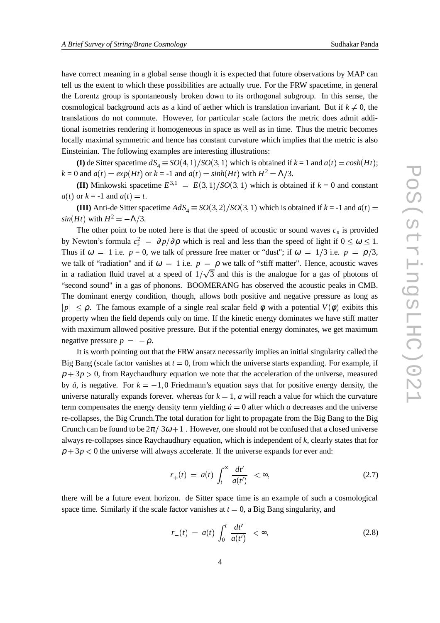have correct meaning in a global sense though it is expected that future observations by MAP can tell us the extent to which these possibilities are actually true. For the FRW spacetime, in general the Lorentz group is spontaneously broken down to its orthogonal subgroup. In this sense, the cosmological background acts as a kind of aether which is translation invariant. But if  $k \neq 0$ , the translations do not commute. However, for particular scale factors the metric does admit additional isometries rendering it homogeneous in space as well as in time. Thus the metric becomes locally maximal symmetric and hence has constant curvature which implies that the metric is also Einsteinian. The following examples are interesting illustrations:

**(I)** de Sitter spacetime  $dS_4 \equiv SO(4,1)/SO(3,1)$  which is obtained if  $k = 1$  and  $a(t) = cosh(Ht)$ ;  $k = 0$  and  $a(t) = exp(Ht)$  or  $k = -1$  and  $a(t) = sinh(Ht)$  with  $H^2 = \Lambda/3$ .

**(II)** Minkowski spacetime  $E^{3,1} = E(3,1)/SO(3,1)$  which is obtained if  $k = 0$  and constant  $a(t)$  or  $k = -1$  and  $a(t) = t$ .

**(III)** Anti-de Sitter spacetime  $AdS_4 \equiv SO(3,2)/SO(3,1)$  which is obtained if  $k = -1$  and  $a(t) =$  $sin(Ht)$  with  $H^2 = -\Lambda/3$ .

The other point to be noted here is that the speed of acoustic or sound waves  $c_s$  is provided by Newton's formula  $c_s^2 = \partial p/\partial \rho$  which is real and less than the speed of light if  $0 \le \omega \le 1$ . Thus if  $\omega = 1$  i.e.  $p = 0$ , we talk of pressure free matter or "dust"; if  $\omega = 1/3$  i.e.  $p = \rho/3$ , we talk of "radiation" and if  $\omega = 1$  i.e.  $p = \rho$  we talk of "stiff matter". Hence, acoustic waves in a radiation fluid travel at a speed of  $1/\sqrt{3}$  and this is the analogue for a gas of photons of "second sound" in a gas of phonons. BOOMERANG has observed the acoustic peaks in CMB. The dominant energy condition, though, allows both positive and negative pressure as long as *p*  $\leq$  ρ. The famous example of a single real scalar field φ with a potential  $V(\phi)$  exibits this property when the field depends only on time. If the kinetic energy dominates we have stiff matter with maximum allowed positive pressure. But if the potential energy dominates, we get maximum negative pressure  $p = -\rho$ .

It is worth pointing out that the FRW ansatz necessarily implies an initial singularity called the Big Bang (scale factor vanishes at  $t = 0$ , from which the universe starts expanding. For example, if  $\rho + 3p > 0$ , from Raychaudhury equation we note that the acceleration of the universe, measured by  $\ddot{a}$ , is negative. For  $k = -1, 0$  Friedmann's equation says that for positive energy density, the universe naturally expands forever. whereas for  $k = 1$ ,  $a$  will reach a value for which the curvature term compensates the energy density term yielding  $\dot{a} = 0$  after which *a* decreases and the universe re-collapses, the Big Crunch.The total duration for light to propagate from the Big Bang to the Big Crunch can be found to be  $2\pi/3\omega+1$ . However, one should not be confused that a closed universe always re-collapses since Raychaudhury equation, which is independent of *k*, clearly states that for  $\rho + 3p < 0$  the universe will always accelerate. If the universe expands for ever and:

$$
r_{+}(t) = a(t) \int_{t}^{\infty} \frac{dt'}{a(t')} < \infty, \tag{2.7}
$$

there will be a future event horizon. de Sitter space time is an example of such a cosmological space time. Similarly if the scale factor vanishes at  $t = 0$ , a Big Bang singularity, and

$$
r_{-}(t) = a(t) \int_{0}^{t} \frac{dt'}{a(t')} < \infty,
$$
\n(2.8)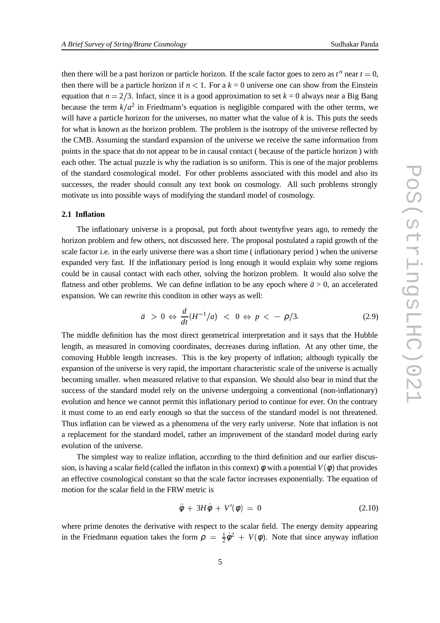then there will be a past horizon or particle horizon. If the scale factor goes to zero as  $t^n$  near  $t = 0$ , then there will be a particle horizon if  $n < 1$ . For a  $k = 0$  universe one can show from the Einstein equation that  $n = 2/3$ . Infact, since it is a good approximation to set  $k = 0$  always near a Big Bang because the term  $k/a^2$  in Friedmann's equation is negligible compared with the other terms, we will have a particle horizon for the universes, no matter what the value of  $k$  is. This puts the seeds for what is known as the horizon problem. The problem is the isotropy of the universe reflected by the CMB. Assuming the standard expansion of the universe we receive the same information from points in the space that do not appear to be in causal contact ( because of the particle horizon ) with each other. The actual puzzle is why the radiation is so uniform. This is one of the major problems of the standard cosmological model. For other problems associated with this model and also its successes, the reader should consult any text book on cosmology. All such problems strongly motivate us into possible ways of modifying the standard model of cosmology.

#### **2.1 Inflation**

The inflationary universe is a proposal, put forth about twentyfive years ago, to remedy the horizon problem and few others, not discussed here. The proposal postulated a rapid growth of the scale factor i.e. in the early universe there was a short time ( inflationary period ) when the universe expanded very fast. If the inflationary period is long enough it would explain why some regions could be in causal contact with each other, solving the horizon problem. It would also solve the flatness and other problems. We can define inflation to be any epoch where  $\ddot{a} > 0$ , an accelerated expansion. We can rewrite this conditon in other ways as well:

$$
\ddot{a} > 0 \Leftrightarrow \frac{d}{dt} (H^{-1}/a) < 0 \Leftrightarrow p < -\rho/3. \tag{2.9}
$$

The middle definition has the most direct geometrical interpretation and it says that the Hubble length, as measured in comoving coordinates, decreases during inflation. At any other time, the comoving Hubble length increases. This is the key property of inflation; although typically the expansion of the universe is very rapid, the important characteristic scale of the universe is actually becoming smaller. when measured relative to that expansion. We should also bear in mind that the success of the standard model rely on the universe undergoing a conventional (non-inflationary) evolution and hence we cannot permit this inflationary period to continue for ever. On the contrary it must come to an end early enough so that the success of the standard model is not threatened. Thus inflation can be viewed as a phenomena of the very early universe. Note that inflation is not a replacement for the standard model, rather an improvement of the standard model during early evolution of the universe.

The simplest way to realize inflation, according to the third definition and our earlier discussion, is having a scalar field (called the inflaton in this context)  $\phi$  with a potential  $V(\phi)$  that provides an effective cosmological constant so that the scale factor increases exponentially. The equation of motion for the scalar field in the FRW metric is

$$
\ddot{\phi} + 3H\dot{\phi} + V'(\phi) = 0 \tag{2.10}
$$

where prime denotes the derivative with respect to the scalar field. The energy density appearing in the Friedmann equation takes the form  $\rho = \frac{1}{2}\dot{\phi}^2 + V(\phi)$  $\frac{1}{2}\dot{\phi}^2 + V(\phi)$ . Note that since anyway inflation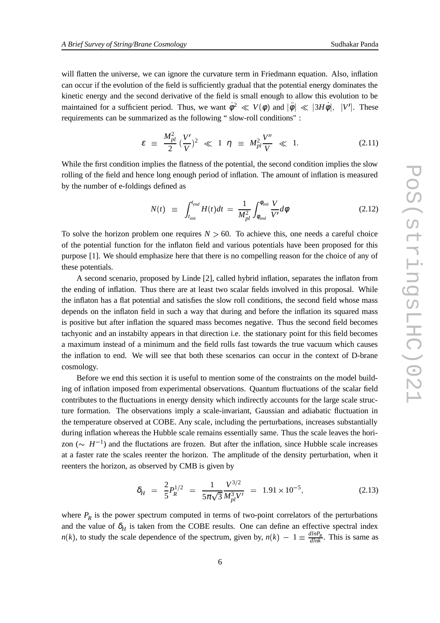will flatten the universe, we can ignore the curvature term in Friedmann equation. Also, inflation can occur if the evolution of the field is sufficiently gradual that the potential energy dominates the kinetic energy and the second derivative of the field is small enough to allow this evolution to be maintained for a sufficient period. Thus, we want  $\dot{\phi}^2 \ll V(\phi)$  and  $|\ddot{\phi}| \ll |3H\dot{\phi}|$ , |*V'*|. These requirements can be summarized as the following " slow-roll conditions" :

$$
\varepsilon \;\equiv\; \frac{M_{pl}^2}{2} \, (\frac{V'}{V})^2 \;\ll\; 1 \;\; \eta \;\equiv\; M_{pl}^2 \frac{V''}{V} \;\ll\; 1. \tag{2.11}
$$

While the first condition implies the flatness of the potential, the second condition implies the slow rolling of the field and hence long enough period of inflation. The amount of inflation is measured by the number of e-foldings defined as

$$
N(t) \equiv \int_{t_{init}}^{t_{end}} H(t)dt = \frac{1}{M_{pl}^2} \int_{\phi_{end}}^{\phi_{init}} \frac{V}{V'} d\phi
$$
 (2.12)

To solve the horizon problem one requires  $N > 60$ . To achieve this, one needs a careful choice of the potential function for the inflaton field and various potentials have been proposed for this purpose [1]. We should emphasize here that there is no compelling reason for the choice of any of these potentials.

A second scenario, proposed by Linde [2], called hybrid inflation, separates the inflaton from the ending of inflation. Thus there are at least two scalar fields involved in this proposal. While the inflaton has a flat potential and satisfies the slow roll conditions, the second field whose mass depends on the inflaton field in such a way that during and before the inflation its squared mass is positive but after inflation the squared mass becomes negative. Thus the second field becomes tachyonic and an instabilty appears in that direction i.e. the stationary point for this field becomes a maximum instead of a minimum and the field rolls fast towards the true vacuum which causes the inflation to end. We will see that both these scenarios can occur in the context of D-brane cosmology.

Before we end this section it is useful to mention some of the constraints on the model building of inflation imposed from experimental observations. Quantum fluctuations of the scalar field contributes to the fluctuations in energy density which indirectly accounts for the large scale structure formation. The observations imply a scale-invariant, Gaussian and adiabatic fluctuation in the temperature observed at COBE. Any scale, including the perturbations, increases substantially during inflation whereas the Hubble scale remains essentially same. Thus the scale leaves the horizon ( $\sim H^{-1}$ ) and the fluctations are frozen. But after the inflation, since Hubble scale increases at a faster rate the scales reenter the horizon. The amplitude of the density perturbation, when it reenters the horizon, as observed by CMB is given by

$$
\delta_H = \frac{2}{5} P_R^{1/2} = \frac{1}{5\pi\sqrt{3}} \frac{V^{3/2}}{M_{pl}^3 V'} = 1.91 \times 10^{-5}, \tag{2.13}
$$

where  $P_R$  is the power spectrum computed in terms of two-point correlators of the perturbations and the value of  $\delta_H$  is taken from the COBE results. One can define an effective spectral index *n*(*k*), to study the scale dependence of the spectrum, given by,  $n(k) - 1 \equiv \frac{dlnP_R}{dlnk}$ . This is same as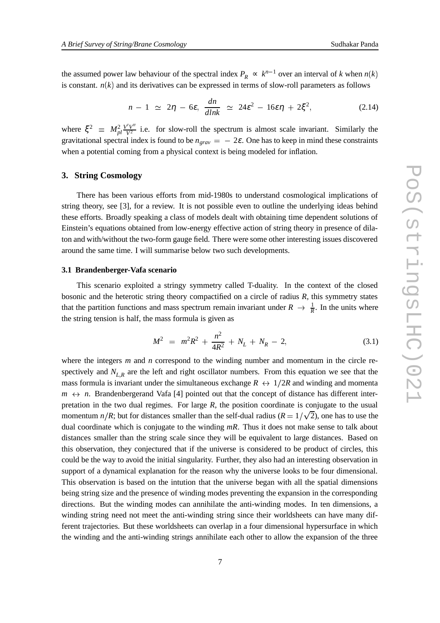the assumed power law behaviour of the spectral index  $P_R \propto k^{n-1}$  over an interval of *k* when  $n(k)$ is constant.  $n(k)$  and its derivatives can be expressed in terms of slow-roll parameters as follows

$$
n-1 \simeq 2\eta - 6\varepsilon, \frac{dn}{dlnk} \simeq 24\varepsilon^2 - 16\varepsilon\eta + 2\xi^2, \qquad (2.14)
$$

where  $\xi^2 \equiv M_{pl}^2 \frac{V'V''}{V^2}$  i.e. for slow-roll the spectrum is almost scale invariant. Similarly the gravitational spectral index is found to be  $n_{grav} = -2\varepsilon$ . One has to keep in mind these constraints when a potential coming from a physical context is being modeled for inflation.

## **3. String Cosmology**

There has been various efforts from mid-1980s to understand cosmological implications of string theory, see [3], for a review. It is not possible even to outline the underlying ideas behind these efforts. Broadly speaking a class of models dealt with obtaining time dependent solutions of Einstein's equations obtained from low-energy effective action of string theory in presence of dilaton and with/without the two-form gauge field. There were some other interesting issues discovered around the same time. I will summarise below two such developments.

#### **3.1 Brandenberger-Vafa scenario**

This scenario exploited a stringy symmetry called T-duality. In the context of the closed bosonic and the heterotic string theory compactified on a circle of radius *R*, this symmetry states that the partition functions and mass spectrum remain invariant under  $R \to \frac{1}{R}$ . In the units where the string tension is half, the mass formula is given as

$$
M^2 = m^2 R^2 + \frac{n^2}{4R^2} + N_L + N_R - 2, \tag{3.1}
$$

where the integers *m* and *n* correspond to the winding number and momentum in the circle respectively and  $N_{L,R}$  are the left and right oscillator numbers. From this equation we see that the mass formula is invariant under the simultaneous exchange  $R \leftrightarrow 1/2R$  and winding and momenta  $m \leftrightarrow n$ . Brandenbergerand Vafa [4] pointed out that the concept of distance has different interpretation in the two dual regimes. For large *R*, the position coordinate is conjugate to the usual momentum  $n/R$ ; but for distances smaller than the self-dual radius ( $R = 1/\sqrt{2}$ ), one has to use the dual coordinate which is conjugate to the winding *mR*. Thus it does not make sense to talk about distances smaller than the string scale since they will be equivalent to large distances. Based on this observation, they conjectured that if the universe is considered to be product of circles, this could be the way to avoid the initial singularity. Further, they also had an interesting observation in support of a dynamical explanation for the reason why the universe looks to be four dimensional. This observation is based on the intution that the universe began with all the spatial dimensions being string size and the presence of winding modes preventing the expansion in the corresponding directions. But the winding modes can annihilate the anti-winding modes. In ten dimensions, a winding string need not meet the anti-winding string since their worldsheets can have many different trajectories. But these worldsheets can overlap in a four dimensional hypersurface in which the winding and the anti-winding strings annihilate each other to allow the expansion of the three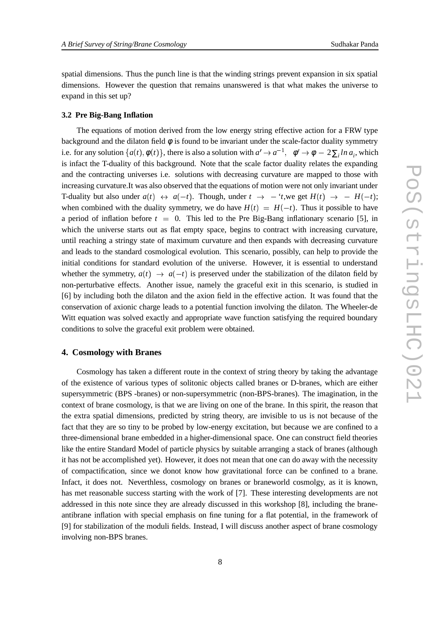spatial dimensions. Thus the punch line is that the winding strings prevent expansion in six spatial dimensions. However the question that remains unanswered is that what makes the universe to expand in this set up?

#### **3.2 Pre Big-Bang Inflation**

The equations of motion derived from the low energy string effective action for a FRW type background and the dilaton field  $\phi$  is found to be invariant under the scale-factor duality symmetry i.e. for any solution  $\{a(t), \phi(t)\}\$ , there is also a solution with  $a' \to a^{-1}$ ,  $\phi' \to \phi - 2\sum_i \ln a_i$ , which is infact the T-duality of this background. Note that the scale factor duality relates the expanding and the contracting universes i.e. solutions with decreasing curvature are mapped to those with increasing curvature.It was also observed that the equations of motion were not only invariant under T-duality but also under  $a(t) \leftrightarrow a(-t)$ . Though, under  $t \rightarrow -t$ , we get  $H(t) \rightarrow -H(-t)$ ; when combined with the duality symmetry, we do have  $H(t) = H(-t)$ . Thus it possible to have a period of inflation before  $t = 0$ . This led to the Pre Big-Bang inflationary scenario [5], in which the universe starts out as flat empty space, begins to contract with increasing curvature, until reaching a stringy state of maximum curvature and then expands with decreasing curvature and leads to the standard cosmological evolution. This scenario, possibly, can help to provide the initial conditions for standard evolution of the universe. However, it is essential to understand whether the symmetry,  $a(t) \rightarrow a(-t)$  is preserved under the stabilization of the dilaton field by non-perturbative effects. Another issue, namely the graceful exit in this scenario, is studied in [6] by including both the dilaton and the axion field in the effective action. It was found that the conservation of axionic charge leads to a potential function involving the dilaton. The Wheeler-de Witt equation was solved exactly and appropriate wave function satisfying the required boundary conditions to solve the graceful exit problem were obtained.

# **4. Cosmology with Branes**

Cosmology has taken a different route in the context of string theory by taking the advantage of the existence of various types of solitonic objects called branes or D-branes, which are either supersymmetric (BPS -branes) or non-supersymmetric (non-BPS-branes). The imagination, in the context of brane cosmology, is that we are living on one of the brane. In this spirit, the reason that the extra spatial dimensions, predicted by string theory, are invisible to us is not because of the fact that they are so tiny to be probed by low-energy excitation, but because we are confined to a three-dimensional brane embedded in a higher-dimensional space. One can construct field theories like the entire Standard Model of particle physics by suitable arranging a stack of branes (although it has not be accomplished yet). However, it does not mean that one can do away with the necessity of compactification, since we donot know how gravitational force can be confined to a brane. Infact, it does not. Neverthless, cosmology on branes or braneworld cosmolgy, as it is known, has met reasonable success starting with the work of [7]. These interesting developments are not addressed in this note since they are already discussed in this workshop [8], including the braneantibrane inflation with special emphasis on fine tuning for a flat potential, in the framework of [9] for stabilization of the moduli fields. Instead, I will discuss another aspect of brane cosmology involving non-BPS branes.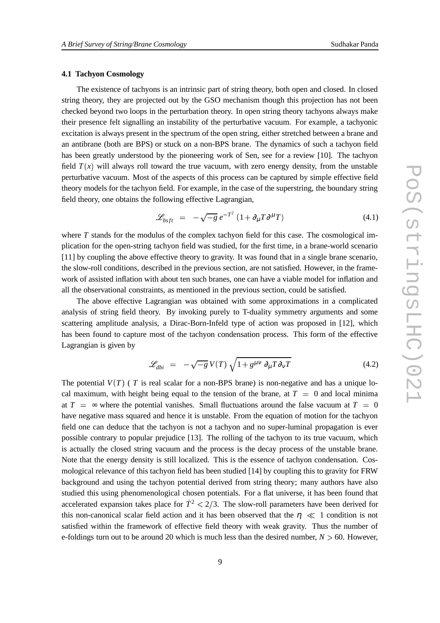# **4.1 Tachyon Cosmology**

The existence of tachyons is an intrinsic part of string theory, both open and closed. In closed string theory, they are projected out by the GSO mechanism though this projection has not been checked beyond two loops in the perturbation theory. In open string theory tachyons always make their presence felt signalling an instability of the perturbative vacuum. For example, a tachyonic excitation is always present in the spectrum of the open string, either stretched between a brane and an antibrane (both are BPS) or stuck on a non-BPS brane. The dynamics of such a tachyon field has been greatly understood by the pioneering work of Sen, see for a review [10]. The tachyon field  $T(x)$  will always roll toward the true vacuum, with zero energy density, from the unstable perturbative vacuum. Most of the aspects of this process can be captured by simple effective field theory models for the tachyon field. For example, in the case of the superstring, the boundary string field theory, one obtains the following effective Lagrangian,

$$
\mathcal{L}_{bsft} = -\sqrt{-g} e^{-T^2} \left( 1 + \partial_{\mu} T \partial^{\mu} T \right) \tag{4.1}
$$

where *T* stands for the modulus of the complex tachyon field for this case. The cosmological implication for the open-string tachyon field was studied, for the first time, in a brane-world scenario [11] by coupling the above effective theory to gravity. It was found that in a single brane scenario, the slow-roll conditions, described in the previous section, are not satisfied. However, in the framework of assisted inflation with about ten such branes, one can have a viable model for inflation and all the observational constraints, as mentioned in the previous section, could be satisfied.

The above effective Lagrangian was obtained with some approximations in a complicated analysis of string field theory. By invoking purely to T-duality symmetry arguments and some scattering amplitude analysis, a Dirac-Born-Infeld type of action was proposed in [12], which has been found to capture most of the tachyon condensation process. This form of the effective Lagrangian is given by

$$
\mathcal{L}_{dbi} = -\sqrt{-g} V(T) \sqrt{1 + g^{\mu\nu} \partial_{\mu} T \partial_{\nu} T}
$$
(4.2)

The potential  $V(T)$  (  $T$  is real scalar for a non-BPS brane) is non-negative and has a unique local maximum, with height being equal to the tension of the brane, at  $T = 0$  and local minima at  $T = \infty$  where the potential vanishes. Small fluctuations around the false vacuum at  $T = 0$ have negative mass squared and hence it is unstable. From the equation of motion for the tachyon field one can deduce that the tachyon is not a tachyon and no super-luminal propagation is ever possible contrary to popular prejudice [13]. The rolling of the tachyon to its true vacuum, which is actually the closed string vacuum and the process is the decay process of the unstable brane. Note that the energy density is still localized. This is the essence of tachyon condensation. Cosmological relevance of this tachyon field has been studied [14] by coupling this to gravity for FRW background and using the tachyon potential derived from string theory; many authors have also studied this using phenomenological chosen potentials. For a flat universe, it has been found that accelerated expansion takes place for  $\dot{T}^2 < 2/3$ . The slow-roll parameters have been derived for this non-canonical scalar field action and it has been observed that the  $n \ll 1$  condition is not satisfied within the framework of effective field theory with weak gravity. Thus the number of e-foldings turn out to be around 20 which is much less than the desired number,  $N > 60$ . However,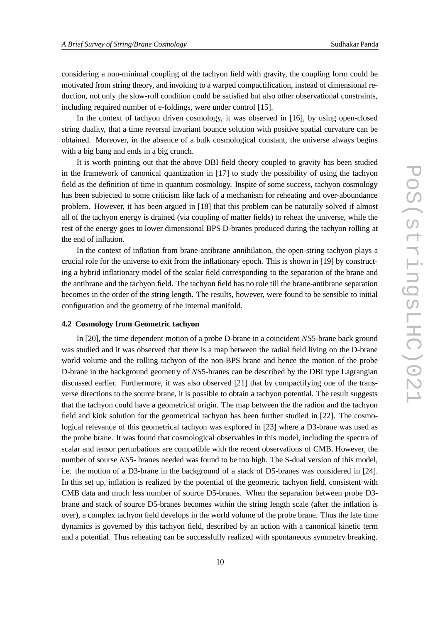considering a non-minimal coupling of the tachyon field with gravity, the coupling form could be motivated from string theory, and invoking to a warped compactification, instead of dimensional reduction, not only the slow-roll condition could be satisfied but also other observational constraints, including required number of e-foldings, were under control [15].

In the context of tachyon driven cosmology, it was observed in [16], by using open-closed string duality, that a time reversal invariant bounce solution with positive spatial curvature can be obtained. Moreover, in the absence of a bulk cosmological constant, the universe always begins with a big bang and ends in a big crunch.

It is worth pointing out that the above DBI field theory coupled to gravity has been studied in the framework of canonical quantization in [17] to study the possibility of using the tachyon field as the definition of time in quantum cosmology. Inspite of some success, tachyon cosmology has been subjected to some criticism like lack of a mechanism for reheating and over-aboundance problem. However, it has been argued in [18] that this problem can be naturally solved if almost all of the tachyon energy is drained (via coupling of matter fields) to reheat the universe, while the rest of the energy goes to lower dimensional BPS D-branes produced during the tachyon rolling at the end of inflation.

In the context of inflation from brane-antibrane annihilation, the open-string tachyon plays a crucial role for the universe to exit from the inflationary epoch. This is shown in [19] by constructing a hybrid inflationary model of the scalar field corresponding to the separation of the brane and the antibrane and the tachyon field. The tachyon field has no role till the brane-antibrane separation becomes in the order of the string length. The results, however, were found to be sensible to initial configuration and the geometry of the internal manifold.

## **4.2 Cosmology from Geometric tachyon**

In [20], the time dependent motion of a probe D-brane in a coincident *NS*5-brane back ground was studied and it was observed that there is a map between the radial field living on the D-brane world volume and the rolling tachyon of the non-BPS brane and hence the motion of the probe D-brane in the background geometry of *NS*5-branes can be described by the DBI type Lagrangian discussed earlier. Furthermore, it was also observed [21] that by compactifying one of the transverse directions to the source brane, it is possible to obtain a tachyon potential. The result suggests that the tachyon could have a geometrical origin. The map between the the radion and the tachyon field and kink solution for the geometrical tachyon has been further studied in [22]. The cosmological relevance of this geometrical tachyon was explored in [23] where a D3-brane was used as the probe brane. It was found that cosmological observables in this model, including the spectra of scalar and tensor perturbations are compatible with the recent observations of CMB. However, the number of sourse *NS*5- branes needed was found to be too high. The S-dual version of this model, i.e. the motion of a D3-brane in the background of a stack of D5-branes was considered in [24]. In this set up, inflation is realized by the potential of the geometric tachyon field, consistent with CMB data and much less number of source D5-branes. When the separation between probe D3 brane and stack of source D5-branes becomes within the string length scale (after the inflation is over), a complex tachyon field develops in the world volume of the probe brane. Thus the late time dynamics is governed by this tachyon field, described by an action with a canonical kinetic term and a potential. Thus reheating can be successfully realized with spontaneous symmetry breaking.